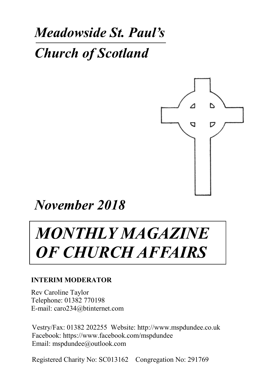## *Meadowside St. Paul's*

*Church of Scotland*



*November 2018*

# *MONTHLY MAGAZINE OF CHURCH AFFAIRS*

#### **INTERIM MODERATOR**

Rev Caroline Taylor Telephone: 01382 770198 E-mail: caro234@btinternet.com

Vestry/Fax: 01382 202255 Website: http://www.mspdundee.co.uk Facebook: https://www.facebook.com/mspdundee Email: mspdundee@outlook.com

Registered Charity No: SC013162 Congregation No: 291769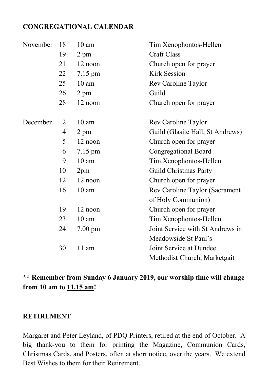#### **CONGREGATIONAL CALENDAR**

| November | 18 | $10 \text{ am}$   | Tim Xenophontos-Hellen           |
|----------|----|-------------------|----------------------------------|
|          | 19 | 2 pm              | <b>Craft Class</b>               |
|          | 21 | 12 noon           | Church open for prayer           |
|          | 22 | 7.15 pm           | <b>Kirk Session</b>              |
|          | 25 | $10 \text{ am}$   | Rev Caroline Taylor              |
|          | 26 | 2 pm              | Guild                            |
|          | 28 | 12 noon           | Church open for prayer           |
| December | 2  | $10 \text{ am}$   | Rev Caroline Taylor              |
|          | 4  | 2 pm              | Guild (Glasite Hall, St Andrews) |
|          | 5  | 12 noon           | Church open for prayer           |
|          | 6  | 7.15 pm           | Congregational Board             |
|          | 9  | $10 \text{ am}$   | Tim Xenophontos-Hellen           |
|          | 10 | 2 <sub>pm</sub>   | Guild Christmas Party            |
|          | 12 | 12 noon           | Church open for prayer           |
|          | 16 | 10 <sub>am</sub>  | Rev Caroline Taylor (Sacrament   |
|          |    |                   | of Holy Communion)               |
|          | 19 | 12 noon           | Church open for prayer           |
|          | 23 | $10 \text{ am}$   | Tim Xenophontos-Hellen           |
|          | 24 | $7.00 \text{ pm}$ | Joint Service with St Andrews in |
|          |    |                   | Meadowside St Paul's             |
|          | 30 | $11$ am           | Joint Service at Dundee          |
|          |    |                   | Methodist Church, Marketgait     |

#### **\*\* Remember from Sunday 6 January 2019, our worship time will change from 10 am to 11.15 am!**

#### **RETIREMENT**

Margaret and Peter Leyland, of PDQ Printers, retired at the end of October. A big thank-you to them for printing the Magazine, Communion Cards, Christmas Cards, and Posters, often at short notice, over the years. We extend Best Wishes to them for their Retirement.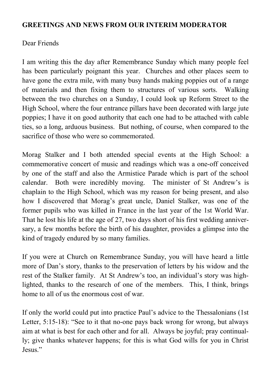#### **GREETINGS AND NEWS FROM OUR INTERIM MODERATOR**

#### Dear Friends

I am writing this the day after Remembrance Sunday which many people feel has been particularly poignant this year. Churches and other places seem to have gone the extra mile, with many busy hands making poppies out of a range of materials and then fixing them to structures of various sorts. Walking between the two churches on a Sunday, I could look up Reform Street to the High School, where the four entrance pillars have been decorated with large jute poppies; I have it on good authority that each one had to be attached with cable ties, so a long, arduous business. But nothing, of course, when compared to the sacrifice of those who were so commemorated.

Morag Stalker and I both attended special events at the High School: a commemorative concert of music and readings which was a one-off conceived by one of the staff and also the Armistice Parade which is part of the school calendar. Both were incredibly moving. The minister of St Andrew's is chaplain to the High School, which was my reason for being present, and also how I discovered that Morag's great uncle, Daniel Stalker, was one of the former pupils who was killed in France in the last year of the 1st World War. That he lost his life at the age of 27, two days short of his first wedding anniversary, a few months before the birth of his daughter, provides a glimpse into the kind of tragedy endured by so many families.

If you were at Church on Remembrance Sunday, you will have heard a little more of Dan's story, thanks to the preservation of letters by his widow and the rest of the Stalker family. At St Andrew's too, an individual's story was highlighted, thanks to the research of one of the members. This, I think, brings home to all of us the enormous cost of war.

If only the world could put into practice Paul's advice to the Thessalonians (1st Letter, 5:15-18): "See to it that no-one pays back wrong for wrong, but always aim at what is best for each other and for all. Always be joyful; pray continually; give thanks whatever happens; for this is what God wills for you in Christ Jesus."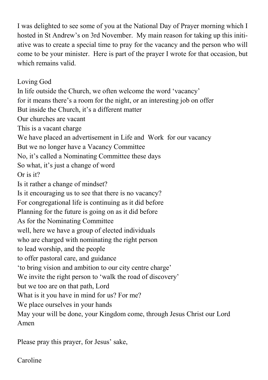I was delighted to see some of you at the National Day of Prayer morning which I hosted in St Andrew's on 3rd November. My main reason for taking up this initiative was to create a special time to pray for the vacancy and the person who will come to be your minister. Here is part of the prayer I wrote for that occasion, but which remains valid.

Loving God In life outside the Church, we often welcome the word 'vacancy' for it means there's a room for the night, or an interesting job on offer But inside the Church, it's a different matter Our churches are vacant This is a vacant charge We have placed an advertisement in Life and Work for our vacancy But we no longer have a Vacancy Committee No, it's called a Nominating Committee these days So what, it's just a change of word Or is it? Is it rather a change of mindset? Is it encouraging us to see that there is no vacancy? For congregational life is continuing as it did before Planning for the future is going on as it did before As for the Nominating Committee well, here we have a group of elected individuals who are charged with nominating the right person to lead worship, and the people to offer pastoral care, and guidance 'to bring vision and ambition to our city centre charge' We invite the right person to 'walk the road of discovery' but we too are on that path, Lord What is it you have in mind for us? For me? We place ourselves in your hands May your will be done, your Kingdom come, through Jesus Christ our Lord Amen

Please pray this prayer, for Jesus' sake,

Caroline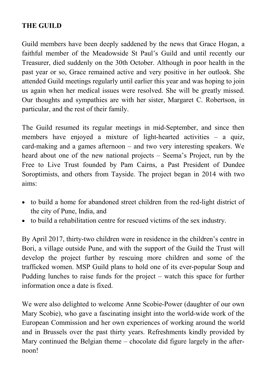#### **THE GUILD**

Guild members have been deeply saddened by the news that Grace Hogan, a faithful member of the Meadowside St Paul's Guild and until recently our Treasurer, died suddenly on the 30th October. Although in poor health in the past year or so, Grace remained active and very positive in her outlook. She attended Guild meetings regularly until earlier this year and was hoping to join us again when her medical issues were resolved. She will be greatly missed. Our thoughts and sympathies are with her sister, Margaret C. Robertson, in particular, and the rest of their family.

The Guild resumed its regular meetings in mid-September, and since then members have enjoyed a mixture of light-hearted activities – a quiz, card-making and a games afternoon – and two very interesting speakers. We heard about one of the new national projects – Seema's Project, run by the Free to Live Trust founded by Pam Cairns, a Past President of Dundee Soroptimists, and others from Tayside. The project began in 2014 with two aims:

- to build a home for abandoned street children from the red-light district of the city of Pune, India, and
- to build a rehabilitation centre for rescued victims of the sex industry.

By April 2017, thirty-two children were in residence in the children's centre in Bori, a village outside Pune, and with the support of the Guild the Trust will develop the project further by rescuing more children and some of the trafficked women. MSP Guild plans to hold one of its ever-popular Soup and Pudding lunches to raise funds for the project – watch this space for further information once a date is fixed.

We were also delighted to welcome Anne Scobie-Power (daughter of our own Mary Scobie), who gave a fascinating insight into the world-wide work of the European Commission and her own experiences of working around the world and in Brussels over the past thirty years. Refreshments kindly provided by Mary continued the Belgian theme – chocolate did figure largely in the afternoon!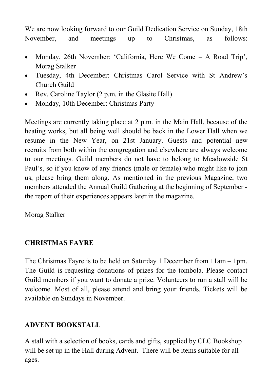We are now looking forward to our Guild Dedication Service on Sunday, 18th November, and meetings up to Christmas, as follows:

- Monday, 26th November: 'California, Here We Come A Road Trip', Morag Stalker
- Tuesday, 4th December: Christmas Carol Service with St Andrew's Church Guild
- Rev. Caroline Taylor (2 p.m. in the Glasite Hall)
- Monday, 10th December: Christmas Party

Meetings are currently taking place at 2 p.m. in the Main Hall, because of the heating works, but all being well should be back in the Lower Hall when we resume in the New Year, on 21st January. Guests and potential new recruits from both within the congregation and elsewhere are always welcome to our meetings. Guild members do not have to belong to Meadowside St Paul's, so if you know of any friends (male or female) who might like to join us, please bring them along. As mentioned in the previous Magazine, two members attended the Annual Guild Gathering at the beginning of September the report of their experiences appears later in the magazine.

Morag Stalker

#### **CHRISTMAS FAYRE**

The Christmas Fayre is to be held on Saturday 1 December from 11am – 1pm. The Guild is requesting donations of prizes for the tombola. Please contact Guild members if you want to donate a prize. Volunteers to run a stall will be welcome. Most of all, please attend and bring your friends. Tickets will be available on Sundays in November.

#### **ADVENT BOOKSTALL**

A stall with a selection of books, cards and gifts, supplied by CLC Bookshop will be set up in the Hall during Advent. There will be items suitable for all ages.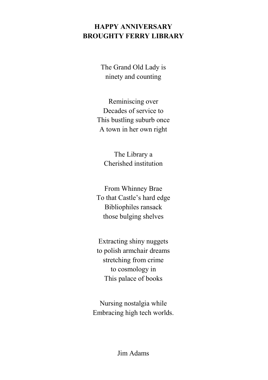#### **HAPPY ANNIVERSARY BROUGHTY FERRY LIBRARY**

The Grand Old Lady is ninety and counting

Reminiscing over Decades of service to This bustling suburb once A town in her own right

The Library a Cherished institution

From Whinney Brae To that Castle's hard edge Bibliophiles ransack those bulging shelves

Extracting shiny nuggets to polish armchair dreams stretching from crime to cosmology in This palace of books

Nursing nostalgia while Embracing high tech worlds.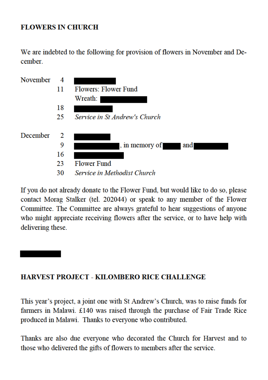#### **FLOWERS IN CHURCH**

We are indebted to the following for provision of flowers in November and December



If you do not already donate to the Flower Fund, but would like to do so, please contact Morag Stalker (tel. 202044) or speak to any member of the Flower Committee. The Committee are always grateful to hear suggestions of anyone who might appreciate receiving flowers after the service, or to have help with delivering these.

#### HARVEST PROJECT - KILOMBERO RICE CHALLENGE

This year's project, a joint one with St Andrew's Church, was to raise funds for farmers in Malawi. £140 was raised through the purchase of Fair Trade Rice produced in Malawi. Thanks to everyone who contributed.

Thanks are also due everyone who decorated the Church for Harvest and to those who delivered the gifts of flowers to members after the service.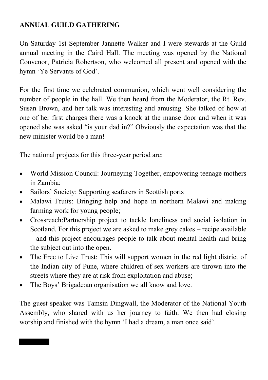#### **ANNUAL GUILD GATHERING**

On Saturday 1st September Jannette Walker and I were stewards at the Guild annual meeting in the Caird Hall. The meeting was opened by the National Convenor, Patricia Robertson, who welcomed all present and opened with the hymn 'Ye Servants of God'.

For the first time we celebrated communion, which went well considering the number of people in the hall. We then heard from the Moderator, the Rt. Rev. Susan Brown, and her talk was interesting and amusing. She talked of how at one of her first charges there was a knock at the manse door and when it was opened she was asked "is your dad in?" Obviously the expectation was that the new minister would be a man!

The national projects for this three-year period are:

- World Mission Council: Journeying Together, empowering teenage mothers in Zambia;
- Sailors' Society: Supporting seafarers in Scottish ports
- Malawi Fruits: Bringing help and hope in northern Malawi and making farming work for young people;
- Crossreach:Partnership project to tackle loneliness and social isolation in Scotland. For this project we are asked to make grey cakes – recipe available – and this project encourages people to talk about mental health and bring the subject out into the open.
- The Free to Live Trust: This will support women in the red light district of the Indian city of Pune, where children of sex workers are thrown into the streets where they are at risk from exploitation and abuse;
- The Boys' Brigade:an organisation we all know and love.

The guest speaker was Tamsin Dingwall, the Moderator of the National Youth Assembly, who shared with us her journey to faith. We then had closing worship and finished with the hymn 'I had a dream, a man once said'.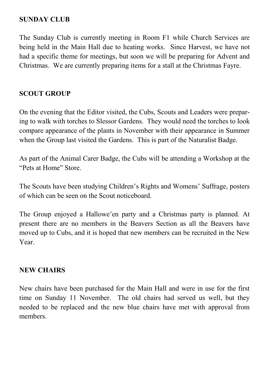#### **SUNDAY CLUB**

The Sunday Club is currently meeting in Room F1 while Church Services are being held in the Main Hall due to heating works. Since Harvest, we have not had a specific theme for meetings, but soon we will be preparing for Advent and Christmas. We are currently preparing items for a stall at the Christmas Fayre.

#### **SCOUT GROUP**

On the evening that the Editor visited, the Cubs, Scouts and Leaders were preparing to walk with torches to Slessor Gardens. They would need the torches to look compare appearance of the plants in November with their appearance in Summer when the Group last visited the Gardens. This is part of the Naturalist Badge.

As part of the Animal Carer Badge, the Cubs will be attending a Workshop at the "Pets at Home" Store.

The Scouts have been studying Children's Rights and Womens' Suffrage, posters of which can be seen on the Scout noticeboard.

The Group enjoyed a Hallowe'en party and a Christmas party is planned. At present there are no members in the Beavers Section as all the Beavers have moved up to Cubs, and it is hoped that new members can be recruited in the New Year.

#### **NEW CHAIRS**

New chairs have been purchased for the Main Hall and were in use for the first time on Sunday 11 November. The old chairs had served us well, but they needed to be replaced and the new blue chairs have met with approval from members.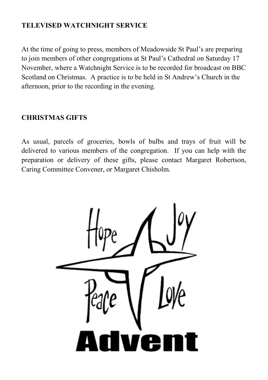#### **TELEVISED WATCHNIGHT SERVICE**

At the time of going to press, members of Meadowside St Paul's are preparing to join members of other congregations at St Paul's Cathedral on Saturday 17 November, where a Watchnight Service is to be recorded for broadcast on BBC Scotland on Christmas. A practice is to be held in St Andrew's Church in the afternoon, prior to the recording in the evening.

#### **CHRISTMAS GIFTS**

As usual, parcels of groceries, bowls of bulbs and trays of fruit will be delivered to various members of the congregation. If you can help with the preparation or delivery of these gifts, please contact Margaret Robertson, Caring Committee Convener, or Margaret Chisholm.